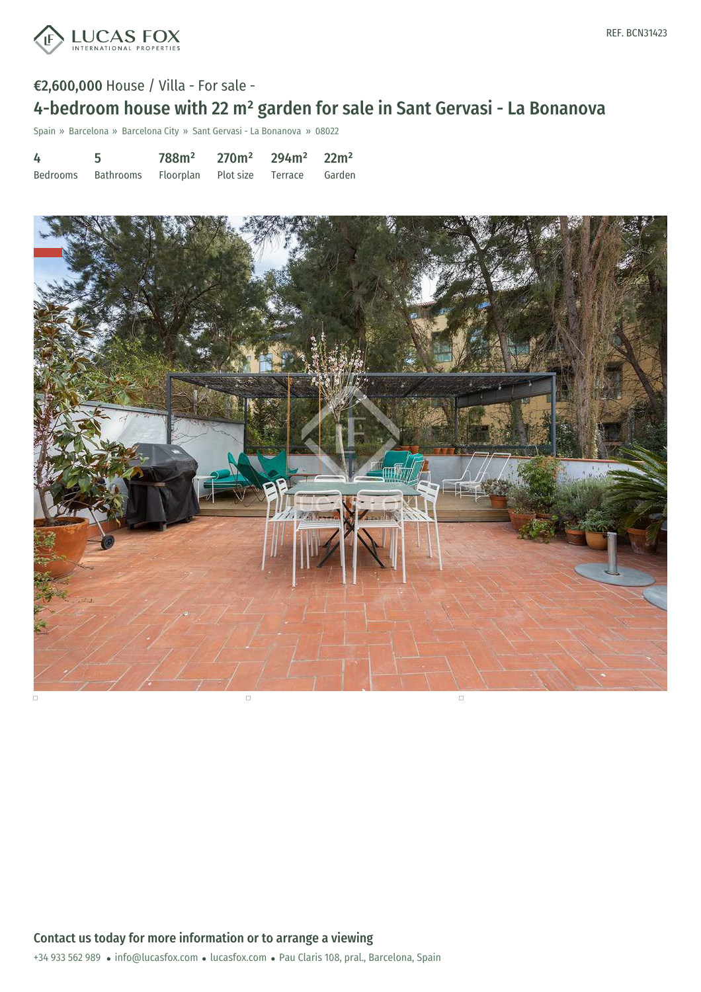

# €2,600,000 House / Villa - For sale -

# 4-bedroom house with 22 m² garden for sale in Sant Gervasi - La Bonanova

Spain » Barcelona » Barcelona City » Sant Gervasi - La Bonanova » 08022

| 4 | 5                                                     | $788m^2$ 270m <sup>2</sup> 294m <sup>2</sup> 22m <sup>2</sup> |  |  |
|---|-------------------------------------------------------|---------------------------------------------------------------|--|--|
|   | Bedrooms Bathrooms Floorplan Plot-size Terrace Garden |                                                               |  |  |

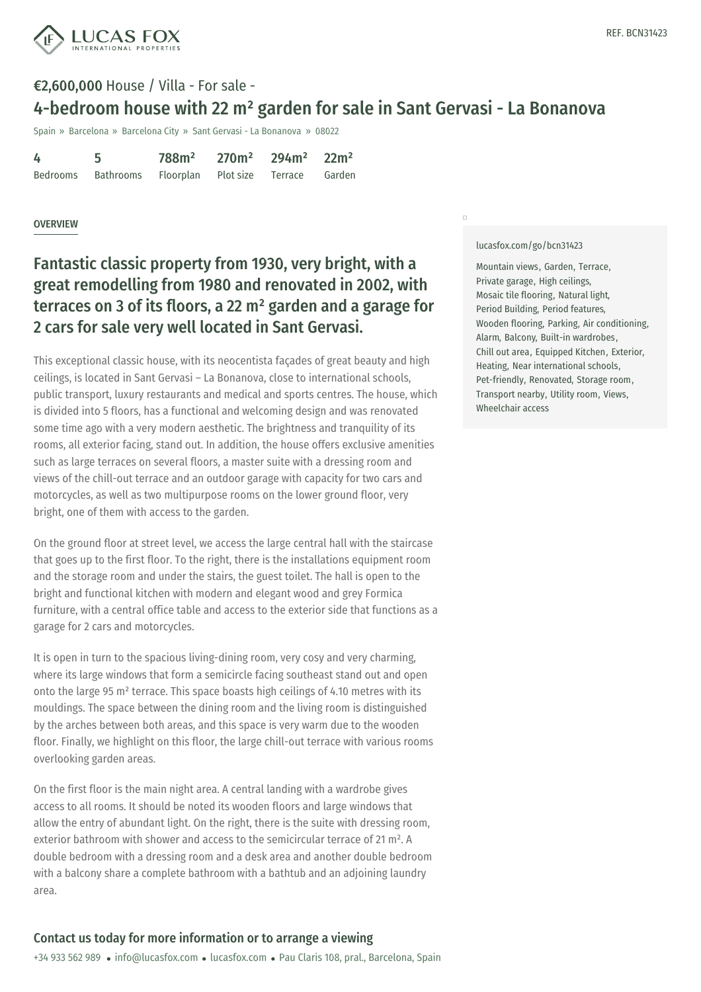

## €2,600,000 House / Villa - For sale - 4-bedroom house with 22 m² garden for sale in Sant Gervasi - La Bonanova

Spain » Barcelona » Barcelona City » Sant Gervasi - La Bonanova » 08022

| 4 | 5                                                     | $788m^2$ 270m <sup>2</sup> 294m <sup>2</sup> 22m <sup>2</sup> |  |  |
|---|-------------------------------------------------------|---------------------------------------------------------------|--|--|
|   | Bedrooms Bathrooms Floorplan Plot-size Terrace Garden |                                                               |  |  |

### **OVERVIEW**

## Fantastic classic property from 1930, very bright, with a great remodelling from 1980 and renovated in 2002, with terraces on 3 of its floors, a 22 m² garden and a garage for 2 cars for sale very well located in Sant Gervasi.

This exceptional classic house, with its neocentista façades of great beauty and high ceilings, is located in Sant Gervasi – La Bonanova, close to international schools, public transport, luxury restaurants and medical and sports centres. The house, which is divided into 5 floors, has a functional and welcoming design and was renovated some time ago with a very modern aesthetic. The brightness and tranquility of its rooms, all exterior facing, stand out. In addition, the house offers exclusive amenities such as large terraces on several floors, a master suite with a dressing room and views of the chill-out terrace and an outdoor garage with capacity for two cars and motorcycles, as well as two multipurpose rooms on the lower ground floor, very bright, one of them with access to the garden.

On the ground floor at street level, we access the large central hall with the staircase that goes up to the first floor. To the right, there is the installations equipment room and the storage room and under the stairs, the guest toilet. The hall is open to the bright and functional kitchen with modern and elegant wood and grey Formica furniture, with a central office table and access to the exterior side that functions as a garage for 2 cars and motorcycles.

It is open in turn to the spacious living-dining room, very cosy and very charming, where its large windows that form a semicircle facing southeast stand out and open onto the large 95 m² terrace. This space boasts high ceilings of 4.10 metres with its mouldings. The space between the dining room and the living room is distinguished by the arches between both areas, and this space is very warm due to the wooden floor. Finally, we [highlight](mailto:info@lucasfox.com) on this floor, the [large](https://www.lucasfox.com) chill-out terrace with various rooms overlooking garden areas.

On the first floor is the main night area. A central landing with a wardrobe gives access to all rooms. It should be noted its wooden floors and large windows that allow the entry of abundant light. On the right, there is the suite with dressing room, exterior bathroom with shower and access to the semicircular terrace of 21 m². A double bedroom with a dressing room and a desk area and another double bedroom with a balcony share a complete bathroom with a bathtub and an adjoining laundry area.

#### [lucasfox.com/go/bcn31423](https://www.lucasfox.com/go/bcn31423)

 $\Box$ 

Mountain views, Garden, Terrace, Private garage, High ceilings, Mosaic tile flooring, Natural light, Period Building, Period features, Wooden flooring, Parking, Air conditioning, Alarm, Balcony, Built-in wardrobes, Chill out area, Equipped Kitchen, Exterior, Heating, Near international schools, Pet-friendly, Renovated, Storage room, Transport nearby, Utility room, Views, Wheelchair access

### Contact us today for more information or to arrange a viewing

+34 933 562 989 · info@lucasfox.com · lucasfox.com · Pau Claris 108, pral., Barcelona, Spain